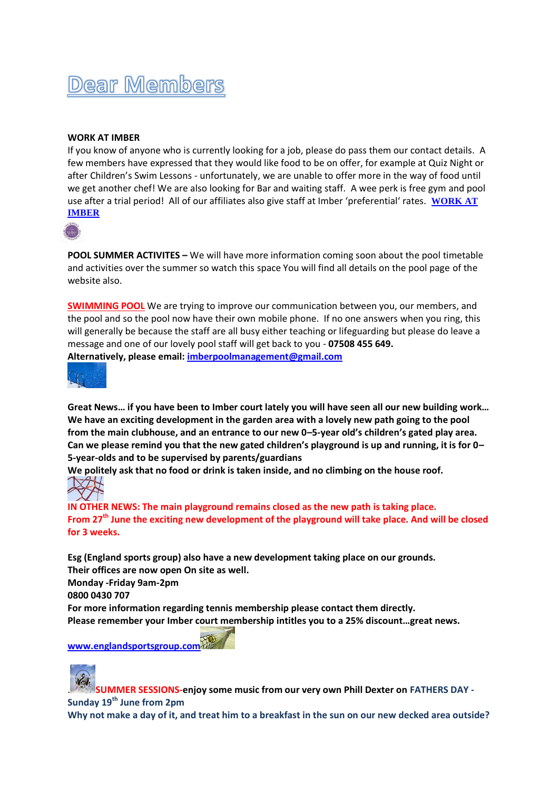## Dear Members

## **WORK AT IMBER**

If you know of anyone who is currently looking for a job, please do pass them our contact details. A few members have expressed that they would like food to be on offer, for example at Quiz Night or after Children's Swim Lessons - unfortunately, we are unable to offer more in the way of food until we get another chef! We are also looking for Bar and waiting staff. A wee perk is free gym and pool use after a trial period! All of our affiliates also give staff at Imber 'preferential' rates. **[WORK AT](https://gbr01.safelinks.protection.outlook.com/?url=https%3A%2F%2Fwww.imbercourt.com%2Fcontact-us%2Fcareers-at-imber-court%2F&data=04%7C01%7Cmembership%40imbercourt.com%7C0f9a04afd1fc440b618a08da10a4e53d%7C6266ee9841904046a1aaee67322f76c6%7C0%7C0%7C637840597641814678%7CUnknown%7CTWFpbGZsb3d8eyJWIjoiMC4wLjAwMDAiLCJQIjoiV2luMzIiLCJBTiI6Ik1haWwiLCJXVCI6Mn0%3D%7C3000&sdata=J39mk7x%2FyaarK6nz0UFqShKUcU2BdAuh3hCOl3Ws%2B5M%3D&reserved=0)  [IMBER](https://gbr01.safelinks.protection.outlook.com/?url=https%3A%2F%2Fwww.imbercourt.com%2Fcontact-us%2Fcareers-at-imber-court%2F&data=04%7C01%7Cmembership%40imbercourt.com%7C0f9a04afd1fc440b618a08da10a4e53d%7C6266ee9841904046a1aaee67322f76c6%7C0%7C0%7C637840597641814678%7CUnknown%7CTWFpbGZsb3d8eyJWIjoiMC4wLjAwMDAiLCJQIjoiV2luMzIiLCJBTiI6Ik1haWwiLCJXVCI6Mn0%3D%7C3000&sdata=J39mk7x%2FyaarK6nz0UFqShKUcU2BdAuh3hCOl3Ws%2B5M%3D&reserved=0)**



**POOL SUMMER ACTIVITES –** We will have more information coming soon about the pool timetable and activities over the summer so watch this space You will find all details on the pool page of the website also.

**[SWIMMING POOL](https://gbr01.safelinks.protection.outlook.com/?url=https%3A%2F%2Fwww.imbercourt.com%2Fimber-pool-gym%2Fswimming%2F&data=04%7C01%7Cmembership%40imbercourt.com%7C0f9a04afd1fc440b618a08da10a4e53d%7C6266ee9841904046a1aaee67322f76c6%7C0%7C0%7C637840597641814678%7CUnknown%7CTWFpbGZsb3d8eyJWIjoiMC4wLjAwMDAiLCJQIjoiV2luMzIiLCJBTiI6Ik1haWwiLCJXVCI6Mn0%3D%7C3000&sdata=GVHZygbur9MTvVAs%2B69hRqcsx8xxrXOUnefjY%2Fbk%2FlM%3D&reserved=0)** We are trying to improve our communication between you, our members, and the pool and so the pool now have their own mobile phone. If no one answers when you ring, this will generally be because the staff are all busy either teaching or lifeguarding but please do leave a message and one of our lovely pool staff will get back to you - **07508 455 649. Alternatively, please email: [imberpoolmanagement@gmail.com](mailto:imberpoolmanagement@gmail.com)**



**Great News… if you have been to Imber court lately you will have seen all our new building work… We have an exciting development in the garden area with a lovely new path going to the pool from the main clubhouse, and an entrance to our new 0–5-year old's children's gated play area. Can we please remind you that the new gated children's playground is up and running, it is for 0– 5-year-olds and to be supervised by parents/guardians**

**We politely ask that no food or drink is taken inside, and no climbing on the house roof.**



**IN OTHER NEWS: The main playground remains closed as the new path is taking place. From 27th June the exciting new development of the playground will take place. And will be closed for 3 weeks.** 

**Esg (England sports group) also have a new development taking place on our grounds. Their offices are now open On site as well. Monday -Friday 9am-2pm 0800 0430 707**

**For more information regarding tennis membership please contact them directly. Please remember your Imber court membership intitles you to a 25% discount…great news.**

**[www.englandsportsgroup.com](http://www.englandsportsgroup.com/)**



. **SUMMER SESSIONS-enjoy some music from our very own Phill Dexter on FATHERS DAY - Sunday 19th June from 2pm** 

**Why not make a day of it, and treat him to a breakfast in the sun on our new decked area outside?**